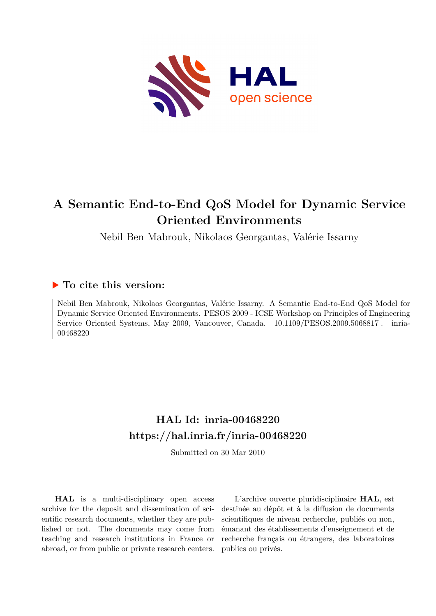

# **A Semantic End-to-End QoS Model for Dynamic Service Oriented Environments**

Nebil Ben Mabrouk, Nikolaos Georgantas, Valérie Issarny

# **To cite this version:**

Nebil Ben Mabrouk, Nikolaos Georgantas, Valérie Issarny. A Semantic End-to-End QoS Model for Dynamic Service Oriented Environments. PESOS 2009 - ICSE Workshop on Principles of Engineering Service Oriented Systems, May 2009, Vancouver, Canada.  $10.1109/PESOS.2009.5068817$ . inria-00468220

# **HAL Id: inria-00468220 <https://hal.inria.fr/inria-00468220>**

Submitted on 30 Mar 2010

**HAL** is a multi-disciplinary open access archive for the deposit and dissemination of scientific research documents, whether they are published or not. The documents may come from teaching and research institutions in France or abroad, or from public or private research centers.

L'archive ouverte pluridisciplinaire **HAL**, est destinée au dépôt et à la diffusion de documents scientifiques de niveau recherche, publiés ou non, émanant des établissements d'enseignement et de recherche français ou étrangers, des laboratoires publics ou privés.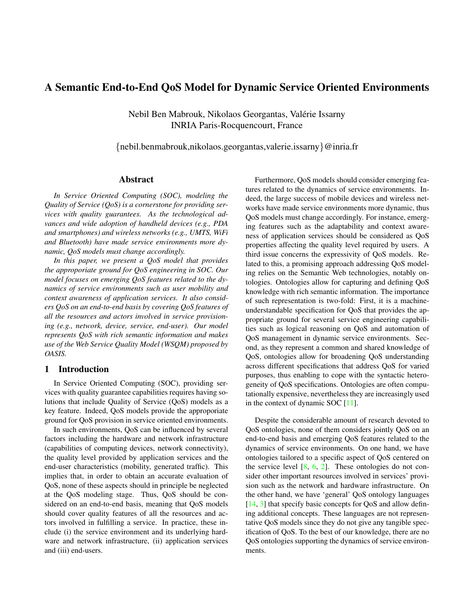# A Semantic End-to-End QoS Model for Dynamic Service Oriented Environments

Nebil Ben Mabrouk, Nikolaos Georgantas, Valérie Issarny INRIA Paris-Rocquencourt, France

{nebil.benmabrouk,nikolaos.georgantas,valerie.issarny}@inria.fr

### Abstract

*In Service Oriented Computing (SOC), modeling the Quality of Service (QoS) is a cornerstone for providing services with quality guarantees. As the technological advances and wide adoption of handheld devices (e.g., PDA and smartphones) and wireless networks (e.g., UMTS, WiFi and Bluetooth) have made service environments more dynamic, QoS models must change accordingly.*

*In this paper, we present a QoS model that provides the approporiate ground for QoS engineering in SOC. Our model focuses on emerging QoS features related to the dynamics of service environments such as user mobility and context awareness of application services. It also considers QoS on an end-to-end basis by covering QoS features of all the resources and actors involved in service provisioning (e.g., network, device, service, end-user). Our model represents QoS with rich semantic information and makes use of the Web Service Quality Model (WSQM) proposed by OASIS.*

#### 1 Introduction

In Service Oriented Computing (SOC), providing services with quality guarantee capabilities requires having solutions that include Quality of Service (QoS) models as a key feature. Indeed, QoS models provide the approporiate ground for QoS provision in service oriented environments.

In such environments, QoS can be influenced by several factors including the hardware and network infrastructure (capabilities of computing devices, network connectivity), the quality level provided by application services and the end-user characteristics (mobility, generated traffic). This implies that, in order to obtain an accurate evaluation of QoS, none of these aspects should in principle be neglected at the QoS modeling stage. Thus, QoS should be considered on an end-to-end basis, meaning that QoS models should cover quality features of all the resources and actors involved in fulfilling a service. In practice, these include (i) the service environment and its underlying hardware and network infrastructure, (ii) application services and (iii) end-users.

Furthermore, QoS models should consider emerging features related to the dynamics of service environments. Indeed, the large success of mobile devices and wireless networks have made service environments more dynamic, thus QoS models must change accordingly. For instance, emerging features such as the adaptability and context awareness of application services should be considered as QoS properties affecting the quality level required by users. A third issue concerns the expressivity of QoS models. Related to this, a promising approach addressing QoS modeling relies on the Semantic Web technologies, notably ontologies. Ontologies allow for capturing and defining QoS knowledge with rich semantic information. The importance of such representation is two-fold: First, it is a machineunderstandable specification for QoS that provides the appropriate ground for several service engineering capabilities such as logical reasoning on QoS and automation of QoS management in dynamic service environments. Second, as they represent a common and shared knowledge of QoS, ontologies allow for broadening QoS understanding across different specifications that address QoS for varied purposes, thus enabling to cope with the syntactic heterogeneity of QoS specifications. Ontologies are often computationally expensive, nevertheless they are increasingly used in the context of dynamic SOC [11].

Despite the considerable amount of research devoted to QoS ontologies, none of them considers jointly QoS on an end-to-end basis and emerging QoS features related to the dynamics of service environments. On one hand, we have ontologies tailored to a specific aspect of QoS centered on the service level  $[8, 6, 2]$ . These ontologies do not consider other important resources involved in services' provision such as the network and hardware infrastructure. On the other hand, we have 'general' QoS ontology languages [14, 3] that specify basic concepts for QoS and allow defining additional concepts. These languages are not representative QoS models since they do not give any tangible specification of QoS. To the best of our knowledge, there are no QoS ontologies supporting the dynamics of service environments.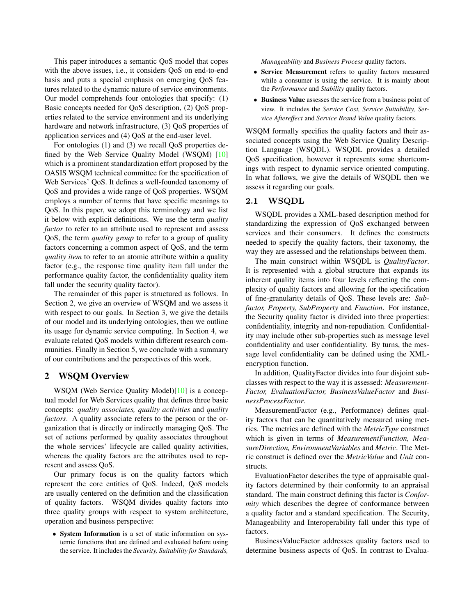This paper introduces a semantic QoS model that copes with the above issues, i.e., it considers QoS on end-to-end basis and puts a special emphasis on emerging QoS features related to the dynamic nature of service environments. Our model comprehends four ontologies that specify: (1) Basic concepts needed for QoS description, (2) QoS properties related to the service environment and its underlying hardware and network infrastructure, (3) QoS properties of application services and (4) QoS at the end-user level.

For ontologies (1) and (3) we recall QoS properties defined by the Web Service Quality Model (WSQM) [10] which is a prominent standardization effort proposed by the OASIS WSQM technical committee for the specification of Web Services' QoS. It defines a well-founded taxonomy of QoS and provides a wide range of QoS properties. WSQM employs a number of terms that have specific meanings to QoS. In this paper, we adopt this terminology and we list it below with explicit definitions. We use the term *quality factor* to refer to an attribute used to represent and assess QoS, the term *quality group* to refer to a group of quality factors concerning a common aspect of QoS, and the term *quality item* to refer to an atomic attribute within a quality factor (e.g., the response time quality item fall under the performance quality factor, the confidentiality quality item fall under the security quality factor).

The remainder of this paper is structured as follows. In Section 2, we give an overview of WSQM and we assess it with respect to our goals. In Section 3, we give the details of our model and its underlying ontologies, then we outline its usage for dynamic service computing. In Section 4, we evaluate related QoS models within different research communities. Finally in Section 5, we conclude with a summary of our contributions and the perspectives of this work.

#### 2 WSQM Overview

WSQM (Web Service Quality Model)[10] is a conceptual model for Web Services quality that defines three basic concepts: *quality associates, quality activities* and *quality factors*. A quality associate refers to the person or the organization that is directly or indirectly managing QoS. The set of actions performed by quality associates throughout the whole services' lifecycle are called quality activities, whereas the quality factors are the attributes used to represent and assess QoS.

Our primary focus is on the quality factors which represent the core entities of QoS. Indeed, QoS models are usually centered on the definition and the classification of quality factors. WSQM divides quality factors into three quality groups with respect to system architecture, operation and business perspective:

• System Information is a set of static information on systemic functions that are defined and evaluated before using the service. It includes the *Security, Suitability for Standards,*

*Manageability* and *Business Process* quality factors.

- Service Measurement refers to quality factors measured while a consumer is using the service. It is mainly about the *Performance* and *Stability* quality factors.
- Business Value assesses the service from a business point of view. It includes the *Service Cost, Service Suitability, Service Aftereffect* and *Service Brand Value* quality factors.

WSQM formally specifies the quality factors and their associated concepts using the Web Service Quality Description Language (WSQDL). WSQDL provides a detailed QoS specification, however it represents some shortcomings with respect to dynamic service oriented computing. In what follows, we give the details of WSQDL then we assess it regarding our goals.

#### 2.1 WSQDL

WSQDL provides a XML-based description method for standardizing the expression of QoS exchanged between services and their consumers. It defines the constructs needed to specify the quality factors, their taxonomy, the way they are assessed and the relationships between them.

The main construct within WSQDL is *QualityFactor*. It is represented with a global structure that expands its inherent quality items into four levels reflecting the complexity of quality factors and allowing for the specification of fine-granularity details of QoS. These levels are: *Subfactor, Property, SubProperty* and *Function*. For instance, the Security quality factor is divided into three properties: confidentiality, integrity and non-repudiation. Confidentiality may include other sub-properties such as message level confidentiality and user confidentiality. By turns, the message level confidentiality can be defined using the XMLencryption function.

In addition, QualityFactor divides into four disjoint subclasses with respect to the way it is assessed: *Measurement-Factor, EvaluationFactor, BusinessValueFactor* and *BusinessProcessFactor*.

MeasurementFactor (e.g., Performance) defines quality factors that can be quantitatively measured using metrics. The metrics are defined with the *MetricType* construct which is given in terms of *MeasurementFunction, MeasureDirection, EnvironmentVariables* and *Metric*. The Metric construct is defined over the *MetricValue* and *Unit* constructs.

EvaluationFactor describes the type of appraisable quality factors determined by their conformity to an appraisal standard. The main construct defining this factor is *Conformity* which describes the degree of conformance between a quality factor and a standard specification. The Security, Manageability and Interoperability fall under this type of factors.

BusinessValueFactor addresses quality factors used to determine business aspects of QoS. In contrast to Evalua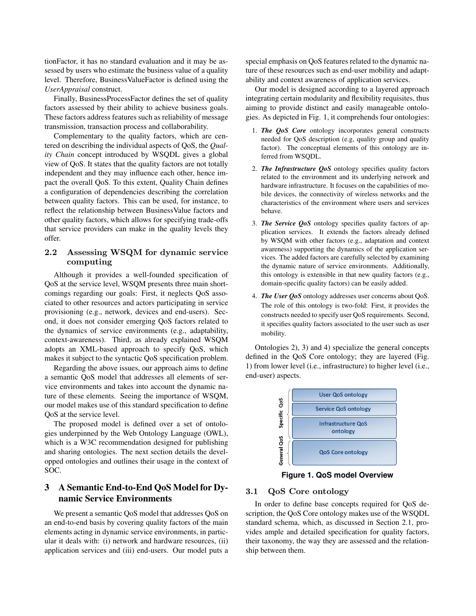tionFactor, it has no standard evaluation and it may be assessed by users who estimate the business value of a quality level. Therefore, BusinessValueFactor is defined using the *UserAppraisal* construct.

Finally, BusinessProcessFactor defines the set of quality factors assessed by their ability to achieve business goals. These factors address features such as reliability of message transmission, transaction process and collaborability.

Complementary to the quality factors, which are centered on describing the individual aspects of QoS, the *Quality Chain* concept introduced by WSQDL gives a global view of QoS. It states that the quality factors are not totally independent and they may influence each other, hence impact the overall QoS. To this extent, Quality Chain defines a configuration of dependencies describing the correlation between quality factors. This can be used, for instance, to reflect the relationship between BusinessValue factors and other quality factors, which allows for specifying trade-offs that service providers can make in the quality levels they offer.

### 2.2 Assessing WSQM for dynamic service computing

Although it provides a well-founded specification of QoS at the service level, WSQM presents three main shortcomings regarding our goals: First, it neglects QoS associated to other resources and actors participating in service provisioning (e.g., network, devices and end-users). Second, it does not consider emerging QoS factors related to the dynamics of service environments (e.g., adaptability, context-awareness). Third, as already explained WSQM adopts an XML-based approach to specify QoS, which makes it subject to the syntactic QoS specification problem.

Regarding the above issues, our approach aims to define a semantic QoS model that addresses all elements of service environments and takes into account the dynamic nature of these elements. Seeing the importance of WSQM, our model makes use of this standard specification to define QoS at the service level.

The proposed model is defined over a set of ontologies underpinned by the Web Ontology Language (OWL), which is a W3C recommendation designed for publishing and sharing ontologies. The next section details the developped ontologies and outlines their usage in the context of SOC.

# 3 A Semantic End-to-End QoS Model for Dynamic Service Environments

We present a semantic QoS model that addresses QoS on an end-to-end basis by covering quality factors of the main elements acting in dynamic service environments, in particular it deals with: (i) network and hardware resources, (ii) application services and (iii) end-users. Our model puts a special emphasis on QoS features related to the dynamic nature of these resources such as end-user mobility and adaptability and context awareness of application services.

Our model is designed according to a layered approach integrating certain modularity and flexibility requisites, thus aiming to provide distinct and easily manageable ontologies. As depicted in Fig. 1, it comprehends four ontologies:

- 1. *The QoS Core* ontology incorporates general constructs needed for QoS description (e.g, quality group and quality factor). The conceptual elements of this ontology are inferred from WSQDL.
- 2. *The Infrastructure QoS* ontology specifies quality factors related to the environment and its underlying network and hardware infrastructure. It focuses on the capabilities of mobile devices, the connectivity of wireless networks and the characteristics of the environment where users and services behave.
- 3. *The Service QoS* ontology specifies quality factors of application services. It extends the factors already defined by WSQM with other factors (e.g., adaptation and context awareness) supporting the dynamics of the application services. The added factors are carefully selected by examining the dynamic nature of service environments. Additionally, this ontology is extensible in that new quality factors (e.g., domain-specific quality factors) can be easily added.
- 4. *The User QoS* ontology addresses user concerns about QoS. The role of this ontology is two-fold: First, it provides the constructs needed to specify user QoS requirements. Second, it specifies quality factors associated to the user such as user mobility.

Ontologies 2), 3) and 4) specialize the general concepts defined in the QoS Core ontology; they are layered (Fig. 1) from lower level (i.e., infrastructure) to higher level (i.e., end-user) aspects.



**Figure 1. QoS model Overview**

### 3.1 QoS Core ontology

In order to define base concepts required for QoS description, the QoS Core ontology makes use of the WSQDL standard schema, which, as discussed in Section 2.1, provides ample and detailed specification for quality factors, their taxonomy, the way they are assessed and the relationship between them.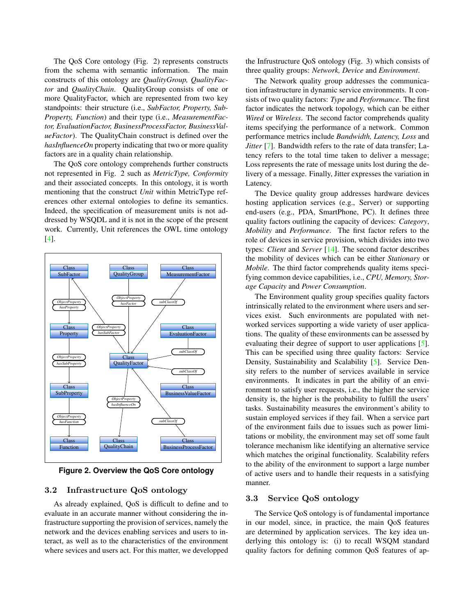The QoS Core ontology (Fig. 2) represents constructs from the schema with semantic information. The main constructs of this ontology are *QualityGroup, QualityFactor* and *QualityChain*. QualityGroup consists of one or more QualityFactor, which are represented from two key standpoints: their structure (i.e., *SubFactor, Property, Sub-Property, Function*) and their type (i.e., *MeasurementFactor, EvaluationFactor, BusinessProcessFactor, BusinessValueFactor*). The QualityChain construct is defined over the *hasInfluenceOn* property indicating that two or more quality factors are in a quality chain relationship.

The QoS core ontology comprehends further constructs not represented in Fig. 2 such as *MetricType, Conformity* and their associated concepts. In this ontology, it is worth mentioning that the construct *Unit* within MetricType references other external ontologies to define its semantics. Indeed, the specification of measurement units is not addressed by WSQDL and it is not in the scope of the present work. Currently, Unit references the OWL time ontology [4].



**Figure 2. Overview the QoS Core ontology**

#### 3.2 Infrastructure QoS ontology

As already explained, QoS is difficult to define and to evaluate in an accurate manner without considering the infrastructure supporting the provision of services, namely the network and the devices enabling services and users to interact, as well as to the characteristics of the environment where sevices and users act. For this matter, we developped the Infrustructure QoS ontology (Fig. 3) which consists of three quality groups: *Network, Device* and *Environment*.

The Network quality group addresses the communication infrastructure in dynamic service environments. It consists of two quality factors: *Type* and *Performance*. The first factor indicates the network topology, which can be either *Wired* or *Wireless*. The second factor comprehends quality items specifying the performance of a network. Common performance metrics include *Bandwidth, Latency, Loss* and *Jitter* [7]. Bandwidth refers to the rate of data transfer; Latency refers to the total time taken to deliver a message; Loss represents the rate of message units lost during the delivery of a message. Finally, Jitter expresses the variation in Latency.

The Device quality group addresses hardware devices hosting application services (e.g., Server) or supporting end-users (e.g., PDA, SmartPhone, PC). It defines three quality factors outlining the capacity of devices: *Category*, *Mobility* and *Performance*. The first factor refers to the role of devices in service provision, which divides into two types: *Client* and *Server* [14]. The second factor describes the mobility of devices which can be either *Stationary* or *Mobile*. The third factor comprehends quality items specifying common device capabilities, i.e., *CPU, Memory, Storage Capacity* and *Power Consumption*.

The Environment quality group specifies quality factors intrinsically related to the environment where users and services exist. Such environments are populated with networked services supporting a wide variety of user applications. The quality of these environments can be assessed by evaluating their degree of support to user applications [5]. This can be specified using three quality factors: Service Density, Sustainability and Scalability [5]. Service Density refers to the number of services available in service environments. It indicates in part the ability of an environment to satisfy user requests, i.e., the higher the service density is, the higher is the probability to fulfill the users' tasks. Sustainability measures the environment's ability to sustain employed services if they fail. When a service part of the environment fails due to issues such as power limitations or mobility, the environment may set off some fault tolerance mechanism like identifying an alternative service which matches the original functionality. Scalability refers to the ability of the environment to support a large number of active users and to handle their requests in a satisfying manner.

#### 3.3 Service QoS ontology

The Service QoS ontology is of fundamental importance in our model, since, in practice, the main QoS features are determined by application services. The key idea underlying this ontology is: (i) to recall WSQM standard quality factors for defining common QoS features of ap-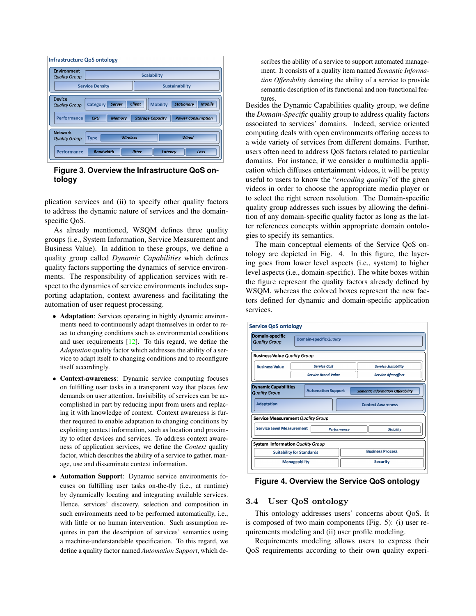

**Figure 3. Overview the Infrastructure QoS ontology**

plication services and (ii) to specify other quality factors to address the dynamic nature of services and the domainspecific QoS.

As already mentioned, WSQM defines three quality groups (i.e., System Information, Service Measurement and Business Value). In addition to these groups, we define a quality group called *Dynamic Capabilities* which defines quality factors supporting the dynamics of service environments. The responsibility of application services with respect to the dynamics of service environments includes supporting adaptation, context awareness and facilitating the automation of user request processing.

- Adaptation: Services operating in highly dynamic environments need to continuously adapt themselves in order to react to changing conditions such as environmental conditions and user requirements  $[12]$ . To this regard, we define the *Adaptation* quality factor which addresses the ability of a service to adapt itself to changing conditions and to reconfigure itself accordingly.
- Context-awareness: Dynamic service computing focuses on fulfilling user tasks in a transparent way that places few demands on user attention. Invisibility of services can be accomplished in part by reducing input from users and replacing it with knowledge of context. Context awareness is further required to enable adaptation to changing conditions by exploiting context information, such as location and proximity to other devices and services. To address context awareness of application services, we define the *Context* quality factor, which describes the ability of a service to gather, manage, use and disseminate context information.
- Automation Support: Dynamic service environments focuses on fulfilling user tasks on-the-fly (i.e., at runtime) by dynamically locating and integrating available services. Hence, services' discovery, selection and composition in such environments need to be performed automatically, i.e., with little or no human intervention. Such assumption requires in part the description of services' semantics using a machine-understandable specification. To this regard, we define a quality factor named *Automation Support*, which de-

scribes the ability of a service to support automated management. It consists of a quality item named *Semantic Information Offerability* denoting the ability of a service to provide semantic description of its functional and non-functional features.

Besides the Dynamic Capabilities quality group, we define the *Domain-Specific* quality group to address quality factors associated to services' domains. Indeed, service oriented computing deals with open environments offering access to a wide variety of services from different domains. Further, users often need to address QoS factors related to particular domains. For instance, if we consider a multimedia application which diffuses entertainment videos, it will be pretty useful to users to know the "*encoding quality*"of the given videos in order to choose the appropriate media player or to select the right screen resolution. The Domain-specific quality group addresses such issues by allowing the definition of any domain-specific quality factor as long as the latter references concepts within appropriate domain ontologies to specify its semantics.

The main conceptual elements of the Service QoS ontology are depicted in Fig. 4. In this figure, the layering goes from lower level aspects (i.e., system) to higher level aspects (i.e., domain-specific). The white boxes within the figure represent the quality factors already defined by WSQM, whereas the colored boxes represent the new factors defined for dynamic and domain-specific application services.

| <b>Service QoS ontology</b>                                              |                                                  |                                                                      |  |  |  |  |  |  |  |
|--------------------------------------------------------------------------|--------------------------------------------------|----------------------------------------------------------------------|--|--|--|--|--|--|--|
| <b>Domain-specific</b><br><b>Quality Group</b>                           | Domain-specific Quality                          |                                                                      |  |  |  |  |  |  |  |
| <b>Business Value Quality Group</b>                                      |                                                  |                                                                      |  |  |  |  |  |  |  |
| <b>Business Value</b>                                                    | <b>Service Cost</b>                              | <b>Service Suitability</b>                                           |  |  |  |  |  |  |  |
|                                                                          | <b>Service Brand Value</b>                       | <b>Service Aftereffect</b>                                           |  |  |  |  |  |  |  |
| <b>Dynamic Capabilities</b><br><b>Quality Group</b><br><b>Adaptation</b> | <b>Automation Support</b>                        | <b>Semantic Information Offerability</b><br><b>Context Awareness</b> |  |  |  |  |  |  |  |
| <b>Service Level Measurement</b>                                         | Service Measurement Quality Group<br>Performance | <b>Stability</b>                                                     |  |  |  |  |  |  |  |
| <b>System Information Quality Group</b>                                  |                                                  |                                                                      |  |  |  |  |  |  |  |
|                                                                          | <b>Suitability for Standards</b>                 | <b>Business Process</b>                                              |  |  |  |  |  |  |  |
|                                                                          | <b>Manageability</b>                             | <b>Security</b>                                                      |  |  |  |  |  |  |  |

**Figure 4. Overview the Service QoS ontology**

#### 3.4 User QoS ontology

This ontology addresses users' concerns about QoS. It is composed of two main components (Fig. 5): (i) user requirements modeling and (ii) user profile modeling.

Requirements modeling allows users to express their QoS requirements according to their own quality experi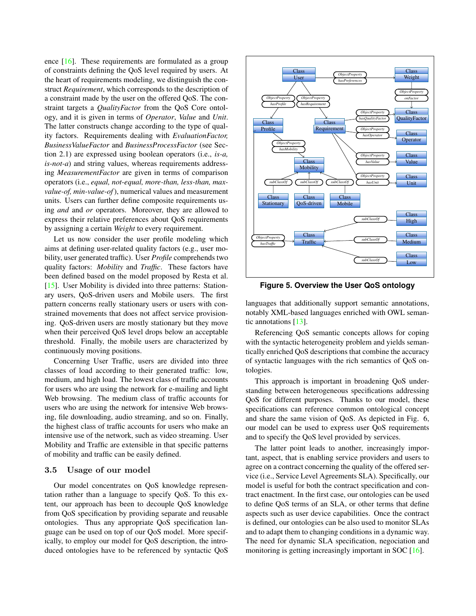ence  $[16]$ . These requirements are formulated as a group of constraints defining the QoS level required by users. At the heart of requirements modeling, we distinguish the construct *Requirement*, which corresponds to the description of a constraint made by the user on the offered QoS. The constraint targets a *QualityFactor* from the QoS Core ontology, and it is given in terms of *Operator*, *Value* and *Unit*. The latter constructs change according to the type of quality factors. Requirements dealing with *EvaluationFactor, BusinessValueFactor* and *BusinessProcessFactor* (see Section 2.1) are expressed using boolean operators (i.e., *is-a, is-not-a*) and string values, whereas requirements addressing *MeasurementFactor* are given in terms of comparison operators (i.e., *equal, not-equal, more-than, less-than, maxvalue-of, min-value-of*), numerical values and measurement units. Users can further define composite requirements using *and* and *or* operators. Moreover, they are allowed to express their relative preferences about QoS requirements by assigning a certain *Weight* to every requirement.

Let us now consider the user profile modeling which aims at defining user-related quality factors (e.g., user mobility, user generated traffic). User *Profile* comprehends two quality factors: *Mobility* and *Traffic*. These factors have been defined based on the model proposed by Resta et al. [15]. User Mobility is divided into three patterns: Stationary users, QoS-driven users and Mobile users. The first pattern concerns really stationary users or users with constrained movements that does not affect service provisioning. QoS-driven users are mostly stationary but they move when their perceived QoS level drops below an acceptable threshold. Finally, the mobile users are characterized by continuously moving positions.

Concerning User Traffic, users are divided into three classes of load according to their generated traffic: low, medium, and high load. The lowest class of traffic accounts for users who are using the network for e-mailing and light Web browsing. The medium class of traffic accounts for users who are using the network for intensive Web browsing, file downloading, audio streaming, and so on. Finally, the highest class of traffic accounts for users who make an intensive use of the network, such as video streaming. User Mobility and Traffic are extensible in that specific patterns of mobility and traffic can be easily defined.

#### 3.5 Usage of our model

Our model concentrates on QoS knowledge representation rather than a language to specify QoS. To this extent, our approach has been to decouple QoS knowledge from QoS specification by providing separate and reusable ontologies. Thus any appropriate QoS specification language can be used on top of our QoS model. More specifically, to employ our model for QoS description, the introduced ontologies have to be referenced by syntactic QoS



**Figure 5. Overview the User QoS ontology**

languages that additionally support semantic annotations, notably XML-based languages enriched with OWL semantic annotations [13].

Referencing QoS semantic concepts allows for coping with the syntactic heterogeneity problem and yields semantically enriched QoS descriptions that combine the accuracy of syntactic languages with the rich semantics of QoS ontologies.

This approach is important in broadening QoS understanding between heterogeneous specifications addressing QoS for different purposes. Thanks to our model, these specifications can reference common ontological concept and share the same vision of QoS. As depicted in Fig. 6, our model can be used to express user QoS requirements and to specify the QoS level provided by services.

The latter point leads to another, increasingly important, aspect, that is enabling service providers and users to agree on a contract concerning the quality of the offered service (i.e., Service Level Agreements SLA). Specifically, our model is useful for both the contract specification and contract enactment. In the first case, our ontologies can be used to define QoS terms of an SLA, or other terms that define aspects such as user device capabilities. Once the contract is defined, our ontologies can be also used to monitor SLAs and to adapt them to changing conditions in a dynamic way. The need for dynamic SLA specification, negociation and monitoring is getting increasingly important in SOC [16].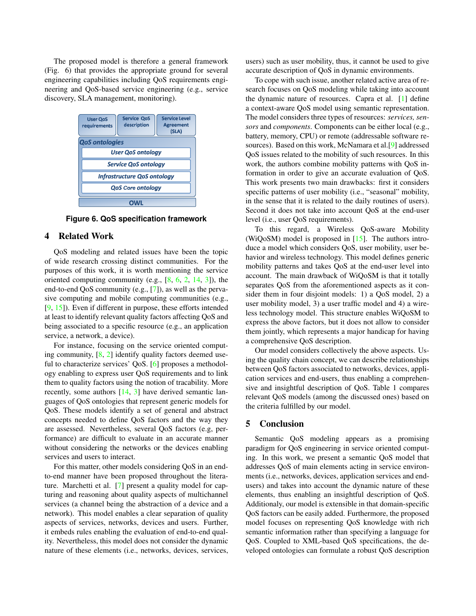The proposed model is therefore a general framework (Fig. 6) that provides the appropriate ground for several engineering capabilities including QoS requirements engineering and QoS-based service engineering (e.g., service discovery, SLA management, monitoring).



**Figure 6. QoS specification framework**

## 4 Related Work

QoS modeling and related issues have been the topic of wide research crossing distinct communities. For the purposes of this work, it is worth mentioning the service oriented computing community (e.g.,  $[8, 6, 2, 14, 3]$ ), the end-to-end QoS community (e.g., [7]), as well as the pervasive computing and mobile computing communities (e.g., [9, 15]). Even if different in purpose, these efforts intended at least to identify relevant quality factors affecting QoS and being associated to a specific resource (e.g., an application service, a network, a device).

For instance, focusing on the service oriented computing community,  $[8, 2]$  identify quality factors deemed useful to characterize services' QoS. [6] proposes a methodology enabling to express user QoS requirements and to link them to quality factors using the notion of tracability. More recently, some authors [14, 3] have derived semantic languages of QoS ontologies that represent generic models for QoS. These models identify a set of general and abstract concepts needed to define QoS factors and the way they are assessed. Nevertheless, several QoS factors (e.g, performance) are difficult to evaluate in an accurate manner without considering the networks or the devices enabling services and users to interact.

For this matter, other models considering QoS in an endto-end manner have been proposed throughout the literature. Marchetti et al. [7] present a quality model for capturing and reasoning about quality aspects of multichannel services (a channel being the abstraction of a device and a network). This model enables a clear separation of quality aspects of services, networks, devices and users. Further, it embeds rules enabling the evaluation of end-to-end quality. Nevertheless, this model does not consider the dynamic nature of these elements (i.e., networks, devices, services, users) such as user mobility, thus, it cannot be used to give accurate description of QoS in dynamic environments.

To cope with such issue, another related active area of research focuses on QoS modeling while taking into account the dynamic nature of resources. Capra et al. [1] define a context-aware QoS model using semantic representation. The model considers three types of resources: *services, sensors* and *components*. Components can be either local (e.g., battery, memory, CPU) or remote (addressable software resources). Based on this work, McNamara et al.[9] addressed QoS issues related to the mobility of such resources. In this work, the authors combine mobility patterns with QoS information in order to give an accurate evaluation of QoS. This work presents two main drawbacks: first it considers specific patterns of user mobility (i.e., "seasonal" mobility, in the sense that it is related to the daily routines of users). Second it does not take into account QoS at the end-user level (i.e., user QoS requirements).

To this regard, a Wireless QoS-aware Mobility (WiQoSM) model is proposed in  $[15]$ . The authors introduce a model which considers QoS, user mobility, user behavior and wireless technology. This model defines generic mobility patterns and takes QoS at the end-user level into account. The main drawback of WiQoSM is that it totally separates QoS from the aforementioned aspects as it consider them in four disjoint models: 1) a QoS model, 2) a user mobility model, 3) a user traffic model and 4) a wireless technology model. This structure enables WiQoSM to express the above factors, but it does not allow to consider them jointly, which represents a major handicap for having a comprehensive QoS description.

Our model considers collectively the above aspects. Using the quality chain concept, we can describe relationships between QoS factors associated to networks, devices, application services and end-users, thus enabling a comprehensive and insightful description of QoS. Table 1 compares relevant QoS models (among the discussed ones) based on the criteria fulfilled by our model.

#### 5 Conclusion

Semantic QoS modeling appears as a promising paradigm for QoS engineering in service oriented computing. In this work, we present a semantic QoS model that addresses QoS of main elements acting in service environments (i.e., networks, devices, application services and endusers) and takes into account the dynamic nature of these elements, thus enabling an insightful description of QoS. Additionaly, our model is extensible in that domain-specific QoS factors can be easily added. Furthermore, the proposed model focuses on representing QoS knowledge with rich semantic information rather than specifying a language for QoS. Coupled to XML-based QoS specifications, the developed ontologies can formulate a robust QoS description